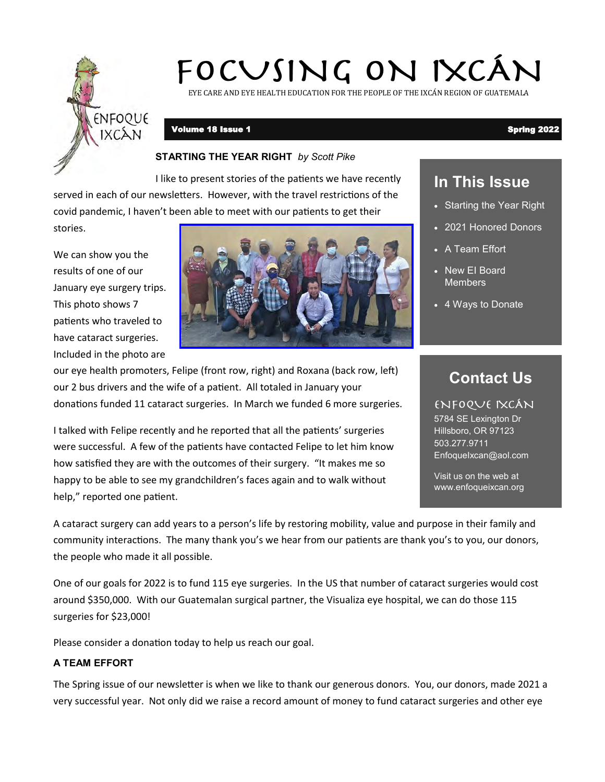

# FOCUSING ON IXCÁN

EYE CARE AND EYE HEALTH EDUCATION FOR THE PEOPLE OF THE IXCÁN REGION OF GUATEMALA

# Volume 18 Issue 1 Spring 2022

# **STARTING THE YEAR RIGHT** *by Scott Pike*

I like to present stories of the patients we have recently served in each of our newsletters. However, with the travel restrictions of the covid pandemic, I haven't been able to meet with our patients to get their stories.

We can show you the results of one of our January eye surgery trips. This photo shows 7 patients who traveled to have cataract surgeries.

Included in the photo are



our eye health promoters, Felipe (front row, right) and Roxana (back row, left) our 2 bus drivers and the wife of a patient. All totaled in January your donations funded 11 cataract surgeries. In March we funded 6 more surgeries.

I talked with Felipe recently and he reported that all the patients' surgeries were successful. A few of the patients have contacted Felipe to let him know how satisfied they are with the outcomes of their surgery. "It makes me so happy to be able to see my grandchildren's faces again and to walk without help," reported one patient.

A cataract surgery can add years to a person's life by restoring mobility, value and purpose in their family and community interactions. The many thank you's we hear from our patients are thank you's to you, our donors, the people who made it all possible.

One of our goals for 2022 is to fund 115 eye surgeries. In the US that number of cataract surgeries would cost around \$350,000. With our Guatemalan surgical partner, the Visualiza eye hospital, we can do those 115 surgeries for \$23,000!

Please consider a donation today to help us reach our goal.

# **A TEAM EFFORT**

The Spring issue of our newsletter is when we like to thank our generous donors. You, our donors, made 2021 a very successful year. Not only did we raise a record amount of money to fund cataract surgeries and other eye

# **In This Issue**

- Starting the Year Right
- 2021 Honored Donors
- A Team Effort
- New EI Board **Members**
- 4 Ways to Donate

# **Contact Us**

# ENFOQUE IXCÁN

5784 SE Lexington Dr Hillsboro, OR 97123 503.277.9711 EnfoqueIxcan@aol.com

Visit us on the web at www.enfoqueixcan.org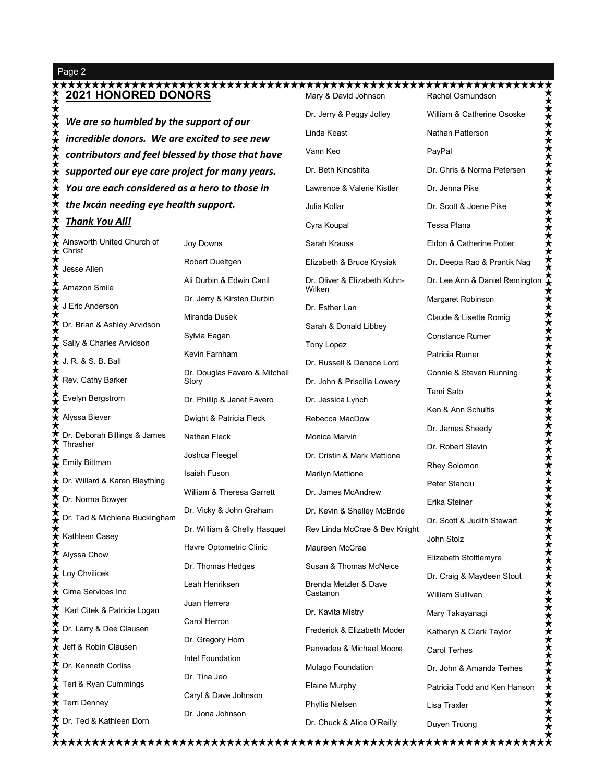Page 2

### **2021 HONORED DONORS** Mary & David Johnson Rachel Osmundson Villiam & Catherine Ososke<br>
Nathan Patterson<br>
PayPal<br>
Dr. Chris & Norma Petersen<br>
Dr. Jenna Pike<br>
Dr. Scott & Joene Pike<br>
Tessa Plana<br>
Eldon & Catherine Potter<br>
Dr. Deepa Rao & Prantik Nag<br>
Dr. Lee Ann & Daniel Remington William & Catherine Ososke Dr. Jerry & Peggy Jolley ★★ *We are so humbled by the support of our*  Linda Keast Nathan Patterson ★★★★ *incredible donors. We are excited to see new*  Vann Keo PayPal *contributors and feel blessed by those that have*  ★★★ Dr. Beth Kinoshita Dr. Chris & Norma Petersen *supported our eye care project for many years. You are each considered as a hero to those in*  Lawrence & Valerie Kistler Dr. Jenna Pike ★★★★ *the Ixcán needing eye health support.*  Julia Kollar Dr. Scott & Joene Pike *Thank You All!*Tessa Plana Cyra Koupal ★★★★ Ainsworth United Church of Joy Downs Eldon & Catherine Potter Sarah Krauss Christ Robert Dueltgen Elizabeth & Bruce Krysiak Dr. Deepa Rao & Prantik Nag  $\bm{\dot{z}}$ Jesse Allen Ali Durbin & Edwin Canil Dr. Oliver & Elizabeth Kuhn-★ Amazon Smile Wilken Dr. Jerry & Kirsten Durbin Margaret Robinson  $\star$  J Eric Anderson Dr. Esther Lan Miranda Dusek Claude & Lisette Romig Dr. Brian & Ashley Arvidson Sarah & Donald Libbey Sylvia Eagan Constance Rumer Sally & Charles Arvidson Tony Lopez Kevin Farnham Patricia Rumer J. R. & S. B. Ball Dr. Russell & Denece Lord Dr. Douglas Favero & Mitchell Connie & Steven Running  $\star$ Rev. Cathy Barker Dr. John & Priscilla Lowery Story Tami Sato Evelyn Bergstrom Dr. Phillip & Janet Favero Dr. Jessica Lynch Ken & Ann Schultis Alyssa Biever Dwight & Patricia Fleck Rebecca MacDow Dr. James Sheedy ★★ Dr. Deborah Billings & James Nathan Fleck Monica Marvin Thrasher Dr. Robert Slavin Joshua Fleegel Dr. Cristin & Mark Mattione Emily Bittman Rhey Solomon Isaiah Fuson Marilyn Mattione <del>∕</del> Dr. Willard & Karen Bleything Peter Stanciu William & Theresa Garrett Dr. James McAndrew ★ Dr. Norma Bowyer Erika Steiner Dr. Vicky & John Graham Dr. Kevin & Shelley McBride Dr. Tad & Michlena Buckingham Dr. Scott & Judith Stewart Dr. William & Chelly Hasquet Rev Linda McCrae & Bev Knight Kathleen Casey John Stolz Havre Optometric Clinic Maureen McCrae Alyssa Chow Elizabeth Stottlemyre Dr. Thomas Hedges Susan & Thomas McNeice Loy Chvilicek Dr. Craig & Maydeen Stout Brenda Metzler & Dave Leah Henriksen Cima Services Inc Castanon William Sullivan Juan Herrera  $\star$ Karl Citek & Patricia Logan Dr. Kavita Mistry Mary Takayanagi Carol Herron ★ Dr. Larry & Dee Clausen Frederick & Elizabeth Moder Katheryn & Clark Taylor Dr. Gregory Hom Jeff & Robin Clausen ★ Panvadee & Michael Moore Carol Terhes Intel Foundation ≵ Dr. Kenneth Corliss Mulago Foundation Dr. John & Amanda Terhes Dr. Tina Jeo ★ Teri & Ryan Cummings Elaine Murphy Patricia Todd and Ken Hanson Caryl & Dave Johnson ★ Terri Denney Phyllis Nielsen Lisa Traxler

Dr. Ted & Kathleen Dorn

Dr. Jona Johnson

Duyen Truong

Dr. Chuck & Alice O'Reilly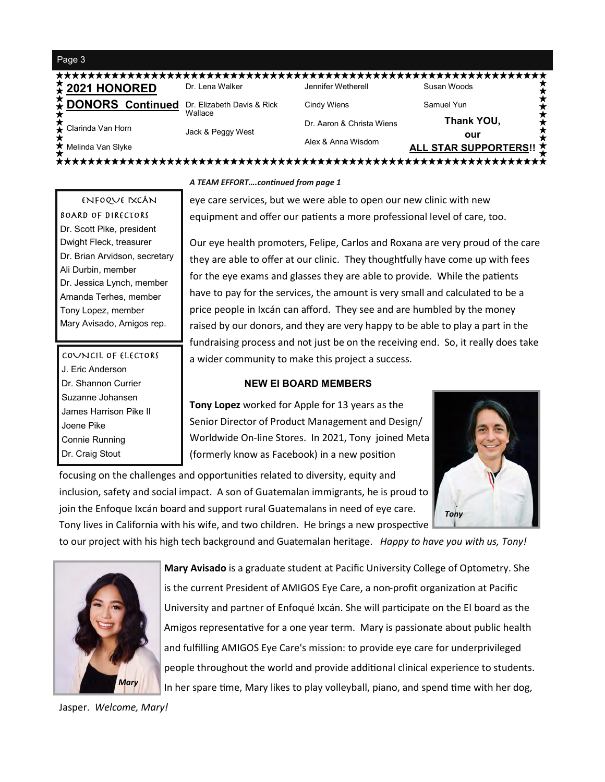### Page 3

| <b>≵ 2021 HONORED</b>     | Dr. Lena Walker                       | Jennifer Wetherell        | Susan Woods             |
|---------------------------|---------------------------------------|---------------------------|-------------------------|
| <b>A</b> DONORS Continued | Dr. Elizabeth Davis & Rick<br>Wallace | Cindy Wiens               | Samuel Yun              |
| Clarinda Van Horn         | Jack & Peggy West                     | Dr. Aaron & Christa Wiens | Thank YOU,              |
|                           |                                       | Alex & Anna Wisdom        | our                     |
| ★ Melinda Van Slyke       |                                       |                           | ALL STAR SUPPORTERS!! 초 |

ENFOQUE IXCÁN **BOARD OF DIRECTORS** Dr. Scott Pike, president Dwight Fleck, treasurer Dr. Brian Arvidson, secretary Ali Durbin, member Dr. Jessica Lynch, member Amanda Terhes, member Tony Lopez, member Mary Avisado, Amigos rep.

COUNCIL OF ELECTORS J. Eric Anderson Dr. Shannon Currier Suzanne Johansen James Harrison Pike II Joene Pike Connie Running Dr. Craig Stout

### *A TEAM EFFORT….continued from page 1*

eye care services, but we were able to open our new clinic with new equipment and offer our patients a more professional level of care, too.

Our eye health promoters, Felipe, Carlos and Roxana are very proud of the care they are able to offer at our clinic. They thoughtfully have come up with fees for the eye exams and glasses they are able to provide. While the patients have to pay for the services, the amount is very small and calculated to be a price people in Ixcán can afford. They see and are humbled by the money raised by our donors, and they are very happy to be able to play a part in the fundraising process and not just be on the receiving end. So, it really does take a wider community to make this project a success.

## **NEW EI BOARD MEMBERS**

**Tony Lopez** worked for Apple for 13 years as the Senior Director of Product Management and Design/ Worldwide On-line Stores. In 2021, Tony joined Meta (formerly know as Facebook) in a new position

focusing on the challenges and opportunities related to diversity, equity and inclusion, safety and social impact. A son of Guatemalan immigrants, he is proud to join the Enfoque Ixcán board and support rural Guatemalans in need of eye care. Tony lives in California with his wife, and two children. He brings a new prospective



to our project with his high tech background and Guatemalan heritage. *Happy to have you with us, Tony!*



**Mary Avisado** is a graduate student at Pacific University College of Optometry. She is the current President of AMIGOS Eye Care, a non-profit organization at Pacific University and partner of Enfoqué Ixcán. She will participate on the EI board as the Amigos representative for a one year term. Mary is passionate about public health and fulfilling AMIGOS Eye Care's mission: to provide eye care for underprivileged people throughout the world and provide additional clinical experience to students. In her spare time, Mary likes to play volleyball, piano, and spend time with her dog,

Jasper. *Welcome, Mary!*